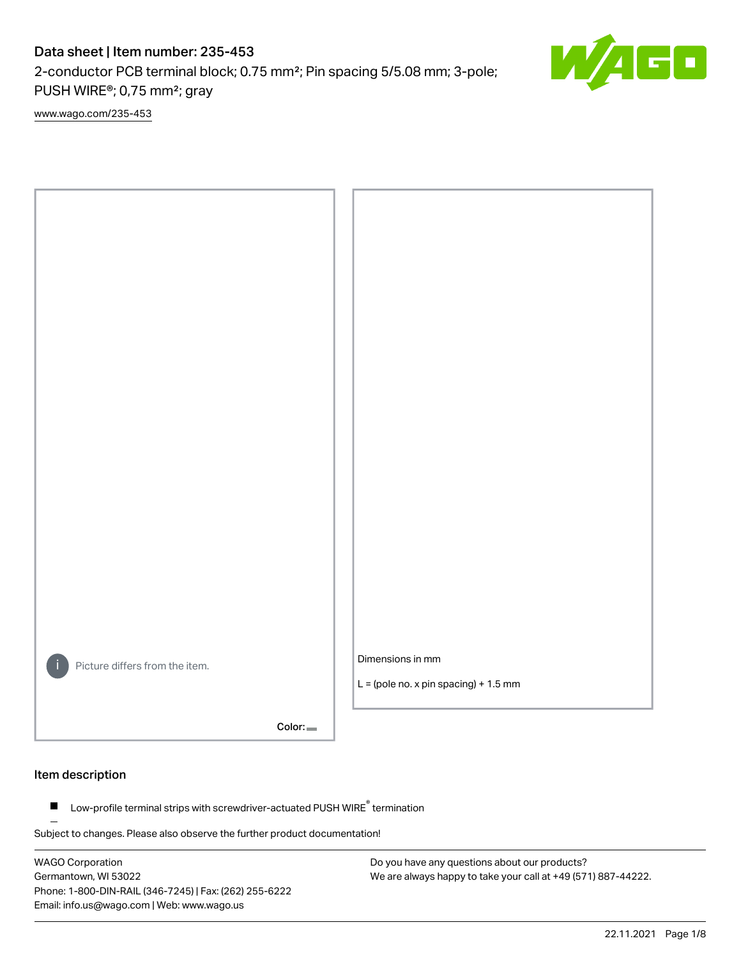# Data sheet | Item number: 235-453

2-conductor PCB terminal block; 0.75 mm²; Pin spacing 5/5.08 mm; 3-pole; PUSH WIRE®; 0,75 mm²; gray

[www.wago.com/235-453](http://www.wago.com/235-453)



Color:

### Item description

Low-profile terminal strips with screwdriver-actuated PUSH WIRE® termination  $\blacksquare$ 

Subject to changes. Please also observe the further product documentation!

WAGO Corporation Germantown, WI 53022 Phone: 1-800-DIN-RAIL (346-7245) | Fax: (262) 255-6222 Email: info.us@wago.com | Web: www.wago.us

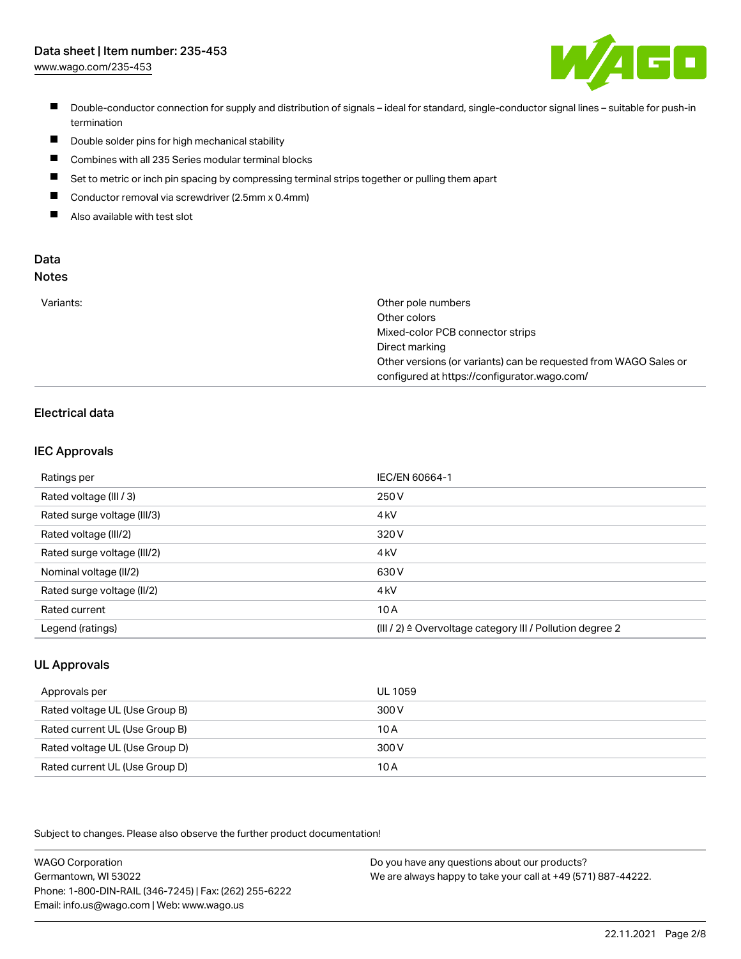# Data sheet | Item number: 235-453

[www.wago.com/235-453](http://www.wago.com/235-453)



- Double-conductor connection for supply and distribution of signals ideal for standard, single-conductor signal lines suitable for push-in termination
- $\blacksquare$ Double solder pins for high mechanical stability
- $\blacksquare$ Combines with all 235 Series modular terminal blocks
- П Set to metric or inch pin spacing by compressing terminal strips together or pulling them apart
- $\blacksquare$ Conductor removal via screwdriver (2.5mm x 0.4mm)
- $\blacksquare$ Also available with test slot

#### Data Notes

|  | ×<br>ï<br>w<br>v | ×<br>۰. | I<br>э.<br>۰. | ×<br>۰. |  |
|--|------------------|---------|---------------|---------|--|
|  |                  |         |               |         |  |
|  |                  |         |               |         |  |

| Other pole numbers                                               |
|------------------------------------------------------------------|
| Other colors                                                     |
| Mixed-color PCB connector strips                                 |
| Direct marking                                                   |
| Other versions (or variants) can be requested from WAGO Sales or |
| configured at https://configurator.wago.com/                     |
|                                                                  |

# Electrical data

### IEC Approvals

| Ratings per                 | IEC/EN 60664-1                                                        |
|-----------------------------|-----------------------------------------------------------------------|
| Rated voltage (III / 3)     | 250 V                                                                 |
| Rated surge voltage (III/3) | 4 <sub>k</sub> V                                                      |
| Rated voltage (III/2)       | 320 V                                                                 |
| Rated surge voltage (III/2) | 4 <sub>k</sub> V                                                      |
| Nominal voltage (II/2)      | 630 V                                                                 |
| Rated surge voltage (II/2)  | 4 <sub>k</sub> V                                                      |
| Rated current               | 10A                                                                   |
| Legend (ratings)            | $(III / 2)$ $\triangle$ Overvoltage category III / Pollution degree 2 |

## UL Approvals

| Approvals per                  | UL 1059 |
|--------------------------------|---------|
| Rated voltage UL (Use Group B) | 300 V   |
| Rated current UL (Use Group B) | 10 A    |
| Rated voltage UL (Use Group D) | 300 V   |
| Rated current UL (Use Group D) | 10 A    |

Subject to changes. Please also observe the further product documentation!

WAGO Corporation Germantown, WI 53022 Phone: 1-800-DIN-RAIL (346-7245) | Fax: (262) 255-6222 Email: info.us@wago.com | Web: www.wago.us Do you have any questions about our products? We are always happy to take your call at +49 (571) 887-44222.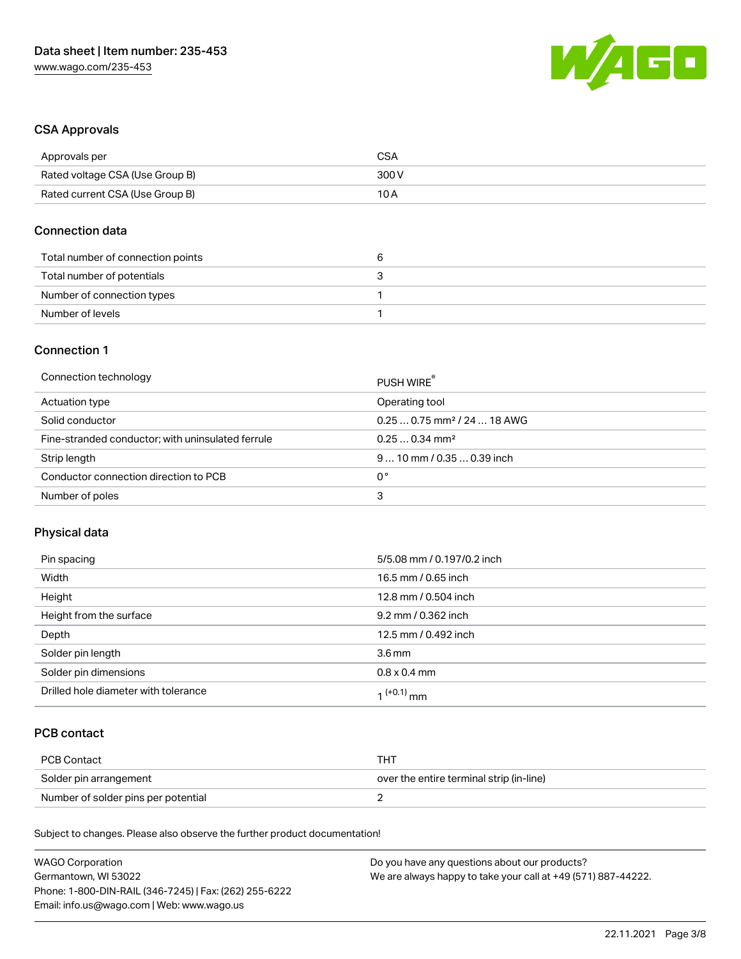

### CSA Approvals

| Approvals per                   | CSA   |
|---------------------------------|-------|
| Rated voltage CSA (Use Group B) | 300 V |
| Rated current CSA (Use Group B) | 10 A  |

### Connection data

| Total number of connection points |  |
|-----------------------------------|--|
| Total number of potentials        |  |
| Number of connection types        |  |
| Number of levels                  |  |

### Connection 1

| Connection technology                             | PUSH WIRE                               |
|---------------------------------------------------|-----------------------------------------|
| Actuation type                                    | Operating tool                          |
| Solid conductor                                   | $0.250.75$ mm <sup>2</sup> / 24  18 AWG |
| Fine-stranded conductor; with uninsulated ferrule | $0.250.34$ mm <sup>2</sup>              |
| Strip length                                      | $910$ mm / 0.35  0.39 inch              |
| Conductor connection direction to PCB             | 0°                                      |
| Number of poles                                   | 3                                       |

# Physical data

| Pin spacing                          | 5/5.08 mm / 0.197/0.2 inch |
|--------------------------------------|----------------------------|
| Width                                | 16.5 mm / 0.65 inch        |
| Height                               | 12.8 mm / 0.504 inch       |
| Height from the surface              | 9.2 mm / 0.362 inch        |
| Depth                                | 12.5 mm / 0.492 inch       |
| Solder pin length                    | 3.6 <sub>mm</sub>          |
| Solder pin dimensions                | $0.8 \times 0.4$ mm        |
| Drilled hole diameter with tolerance | $(1+0.1)$ mm               |

# PCB contact

| PCB Contact                         | THT                                      |
|-------------------------------------|------------------------------------------|
| Solder pin arrangement              | over the entire terminal strip (in-line) |
| Number of solder pins per potential |                                          |

Subject to changes. Please also observe the further product documentation!

| <b>WAGO Corporation</b>                                | Do you have any questions about our products?                 |
|--------------------------------------------------------|---------------------------------------------------------------|
| Germantown, WI 53022                                   | We are always happy to take your call at +49 (571) 887-44222. |
| Phone: 1-800-DIN-RAIL (346-7245)   Fax: (262) 255-6222 |                                                               |
| Email: info.us@wago.com   Web: www.wago.us             |                                                               |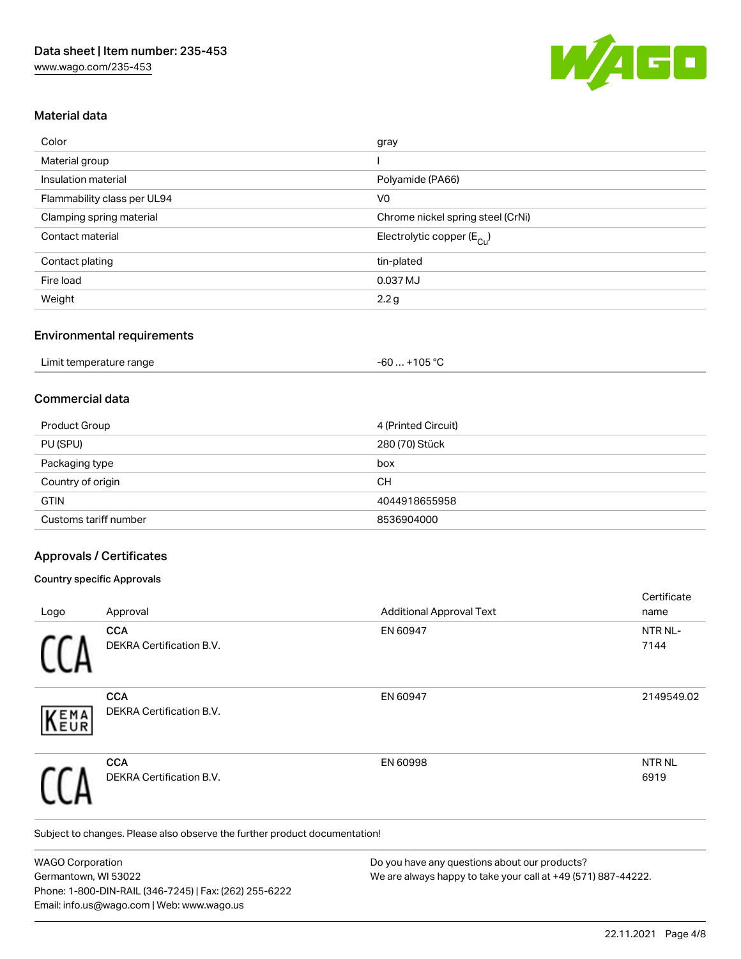

### Material data

| Color                       | gray                                    |
|-----------------------------|-----------------------------------------|
| Material group              |                                         |
| Insulation material         | Polyamide (PA66)                        |
| Flammability class per UL94 | V <sub>0</sub>                          |
| Clamping spring material    | Chrome nickel spring steel (CrNi)       |
| Contact material            | Electrolytic copper ( $E_{\text{Cu}}$ ) |
| Contact plating             | tin-plated                              |
| Fire load                   | 0.037 MJ                                |
| Weight                      | 2.2g                                    |

#### Environmental requirements

| Limit temperature range | +105 °C<br>- 60  . |  |
|-------------------------|--------------------|--|
|-------------------------|--------------------|--|

### Commercial data

| Product Group         | 4 (Printed Circuit) |
|-----------------------|---------------------|
| PU (SPU)              | 280 (70) Stück      |
| Packaging type        | box                 |
| Country of origin     | <b>CH</b>           |
| <b>GTIN</b>           | 4044918655958       |
| Customs tariff number | 8536904000          |

### Approvals / Certificates

#### Country specific Approvals

|            |                                        |                                 | Certificate               |
|------------|----------------------------------------|---------------------------------|---------------------------|
| Logo       | Approval                               | <b>Additional Approval Text</b> | name                      |
|            | <b>CCA</b><br>DEKRA Certification B.V. | EN 60947                        | NTR NL-<br>7144           |
| EMA<br>EUR | <b>CCA</b><br>DEKRA Certification B.V. | EN 60947                        | 2149549.02                |
|            | <b>CCA</b><br>DEKRA Certification B.V. | EN 60998                        | NTR <sub>NL</sub><br>6919 |

Subject to changes. Please also observe the further product documentation!

WAGO Corporation Germantown, WI 53022 Phone: 1-800-DIN-RAIL (346-7245) | Fax: (262) 255-6222 Email: info.us@wago.com | Web: www.wago.us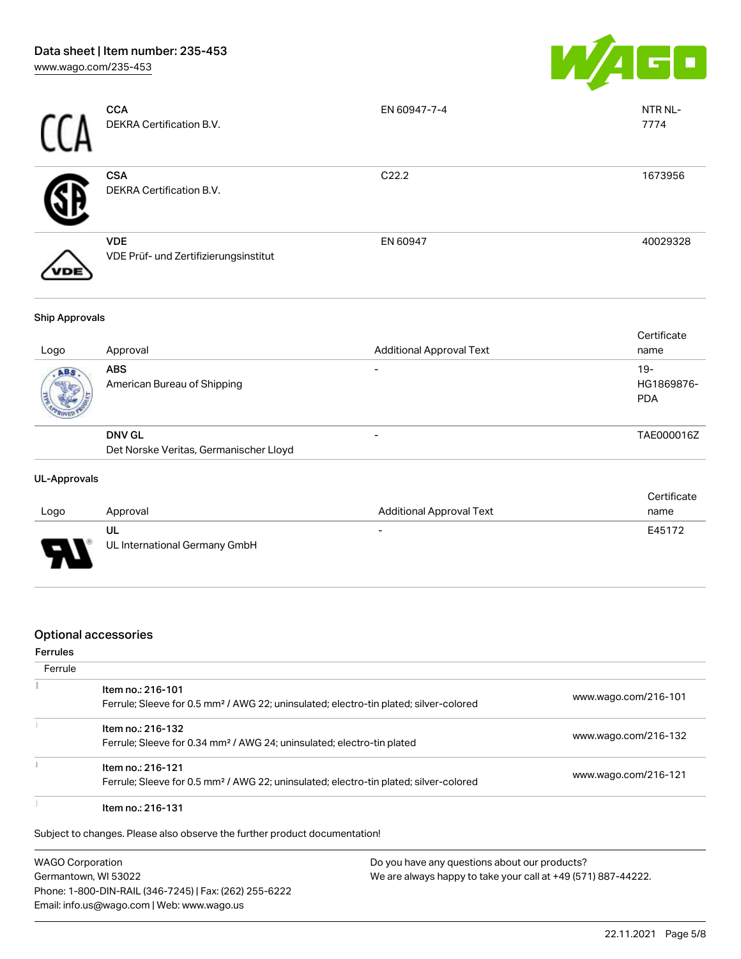

|     | <b>CCA</b><br>DEKRA Certification B.V.              | EN 60947-7-4      | NTR NL-<br>7774 |
|-----|-----------------------------------------------------|-------------------|-----------------|
|     | <b>CSA</b><br>DEKRA Certification B.V.              | C <sub>22.2</sub> | 1673956         |
| 'DE | <b>VDE</b><br>VDE Prüf- und Zertifizierungsinstitut | EN 60947          | 40029328        |

#### Ship Approvals

| Approval                                                | <b>Additional Approval Text</b> | Certificate<br>name               |
|---------------------------------------------------------|---------------------------------|-----------------------------------|
| <b>ABS</b><br>American Bureau of Shipping               |                                 | $19-$<br>HG1869876-<br><b>PDA</b> |
| <b>DNV GL</b><br>Det Norske Veritas, Germanischer Lloyd |                                 | TAE000016Z                        |
|                                                         |                                 |                                   |

#### UL-Approvals

| Logo | Approval                            | <b>Additional Approval Text</b> | Certificate<br>name |
|------|-------------------------------------|---------------------------------|---------------------|
| J    | UL<br>UL International Germany GmbH | $\overline{\phantom{0}}$        | E45172              |

### Optional accessories

#### Ferrules

| Ferrule |                                                                                                                        |                      |
|---------|------------------------------------------------------------------------------------------------------------------------|----------------------|
|         | Item no.: 216-101<br>Ferrule; Sleeve for 0.5 mm <sup>2</sup> / AWG 22; uninsulated; electro-tin plated; silver-colored | www.wago.com/216-101 |
|         | Item no.: 216-132<br>Ferrule; Sleeve for 0.34 mm <sup>2</sup> / AWG 24; uninsulated; electro-tin plated                | www.wago.com/216-132 |
|         | Item no.: 216-121<br>Ferrule; Sleeve for 0.5 mm <sup>2</sup> / AWG 22; uninsulated; electro-tin plated; silver-colored | www.wago.com/216-121 |
|         | Item no.: 216-131                                                                                                      |                      |

Subject to changes. Please also observe the further product documentation!

WAGO Corporation Germantown, WI 53022 Phone: 1-800-DIN-RAIL (346-7245) | Fax: (262) 255-6222 Email: info.us@wago.com | Web: www.wago.us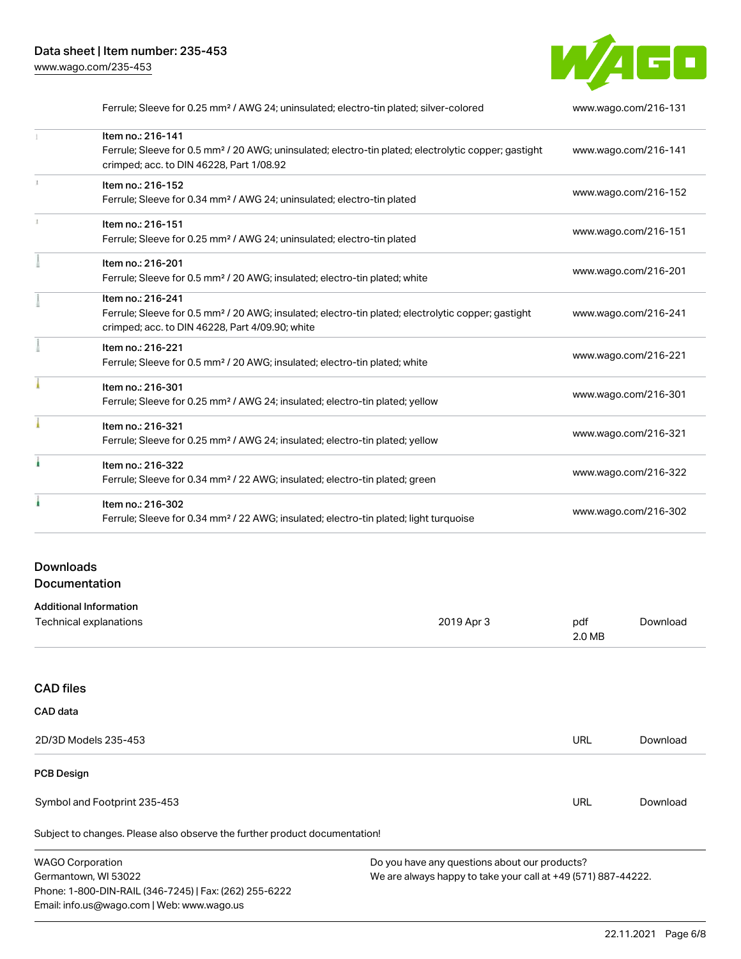

| Ferrule; Sleeve for 0.25 mm <sup>2</sup> / AWG 24; uninsulated; electro-tin plated; silver-colored               | www.wago.com/216-131 |
|------------------------------------------------------------------------------------------------------------------|----------------------|
| Item no.: 216-141                                                                                                |                      |
| Ferrule; Sleeve for 0.5 mm <sup>2</sup> / 20 AWG; uninsulated; electro-tin plated; electrolytic copper; gastight | www.wago.com/216-141 |
| crimped; acc. to DIN 46228, Part 1/08.92                                                                         |                      |
| Item no.: 216-152                                                                                                | www.wago.com/216-152 |
| Ferrule; Sleeve for 0.34 mm <sup>2</sup> / AWG 24; uninsulated; electro-tin plated                               |                      |
| Item no.: 216-151                                                                                                |                      |
| Ferrule; Sleeve for 0.25 mm <sup>2</sup> / AWG 24; uninsulated; electro-tin plated                               | www.wago.com/216-151 |
| Item no.: 216-201                                                                                                |                      |
| Ferrule; Sleeve for 0.5 mm <sup>2</sup> / 20 AWG; insulated; electro-tin plated; white                           | www.wago.com/216-201 |
| Item no.: 216-241                                                                                                |                      |
| Ferrule; Sleeve for 0.5 mm <sup>2</sup> / 20 AWG; insulated; electro-tin plated; electrolytic copper; gastight   | www.wago.com/216-241 |
| crimped; acc. to DIN 46228, Part 4/09.90; white                                                                  |                      |
| Item no.: 216-221                                                                                                |                      |
| Ferrule; Sleeve for 0.5 mm <sup>2</sup> / 20 AWG; insulated; electro-tin plated; white                           | www.wago.com/216-221 |
| Item no.: 216-301                                                                                                |                      |
| Ferrule; Sleeve for 0.25 mm <sup>2</sup> / AWG 24; insulated; electro-tin plated; yellow                         | www.wago.com/216-301 |
| Item no.: 216-321                                                                                                |                      |
| Ferrule; Sleeve for 0.25 mm <sup>2</sup> / AWG 24; insulated; electro-tin plated; yellow                         | www.wago.com/216-321 |
| Item no.: 216-322                                                                                                |                      |
| Ferrule; Sleeve for 0.34 mm <sup>2</sup> / 22 AWG; insulated; electro-tin plated; green                          | www.wago.com/216-322 |
| Item no.: 216-302                                                                                                |                      |
| Ferrule; Sleeve for 0.34 mm <sup>2</sup> / 22 AWG; insulated; electro-tin plated; light turquoise                | www.wago.com/216-302 |
|                                                                                                                  |                      |

# Downloads Documentation

Email: info.us@wago.com | Web: www.wago.us

| <b>Additional Information</b>                                              |                                                               |               |          |
|----------------------------------------------------------------------------|---------------------------------------------------------------|---------------|----------|
| Technical explanations                                                     | 2019 Apr 3                                                    | pdf<br>2.0 MB | Download |
|                                                                            |                                                               |               |          |
| <b>CAD files</b>                                                           |                                                               |               |          |
| CAD data                                                                   |                                                               |               |          |
| 2D/3D Models 235-453                                                       |                                                               | URL           | Download |
| <b>PCB Design</b>                                                          |                                                               |               |          |
| Symbol and Footprint 235-453                                               |                                                               | URL           | Download |
| Subject to changes. Please also observe the further product documentation! |                                                               |               |          |
| <b>WAGO Corporation</b>                                                    | Do you have any questions about our products?                 |               |          |
| Germantown, WI 53022                                                       | We are always happy to take your call at +49 (571) 887-44222. |               |          |
| Phone: 1-800-DIN-RAIL (346-7245)   Fax: (262) 255-6222                     |                                                               |               |          |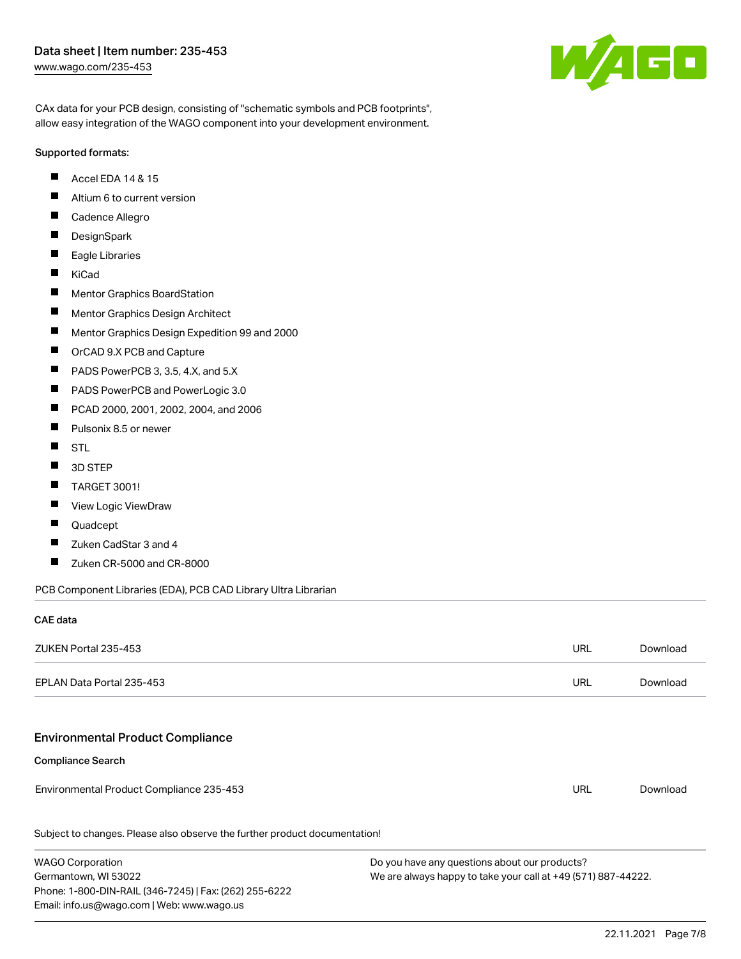### Data sheet | Item number: 235-453 [www.wago.com/235-453](http://www.wago.com/235-453)



CAx data for your PCB design, consisting of "schematic symbols and PCB footprints", allow easy integration of the WAGO component into your development environment.

#### Supported formats:

- $\blacksquare$ Accel EDA 14 & 15
- $\blacksquare$ Altium 6 to current version
- $\blacksquare$ Cadence Allegro
- $\blacksquare$ **DesignSpark**
- $\blacksquare$ Eagle Libraries
- $\blacksquare$ KiCad
- $\blacksquare$ Mentor Graphics BoardStation
- $\blacksquare$ Mentor Graphics Design Architect
- $\blacksquare$ Mentor Graphics Design Expedition 99 and 2000
- П OrCAD 9.X PCB and Capture
- $\blacksquare$ PADS PowerPCB 3, 3.5, 4.X, and 5.X
- $\blacksquare$ PADS PowerPCB and PowerLogic 3.0
- $\blacksquare$ PCAD 2000, 2001, 2002, 2004, and 2006
- $\blacksquare$ Pulsonix 8.5 or newer
- $\blacksquare$ STL
- $\blacksquare$ 3D STEP
- $\blacksquare$ TARGET 3001!
- $\blacksquare$ View Logic ViewDraw
- П Quadcept
- $\blacksquare$ Zuken CadStar 3 and 4
- $\blacksquare$ Zuken CR-5000 and CR-8000

PCB Component Libraries (EDA), PCB CAD Library Ultra Librarian

### CAE data

| ZUKEN Portal 235-453                                                       | <b>URL</b> | Download |
|----------------------------------------------------------------------------|------------|----------|
| EPLAN Data Portal 235-453                                                  | <b>URL</b> | Download |
|                                                                            |            |          |
| <b>Environmental Product Compliance</b>                                    |            |          |
| <b>Compliance Search</b>                                                   |            |          |
| Environmental Product Compliance 235-453                                   | URL        | Download |
| Subject to changes. Please also observe the further product documentation! |            |          |

WAGO Corporation Germantown, WI 53022 Phone: 1-800-DIN-RAIL (346-7245) | Fax: (262) 255-6222 Email: info.us@wago.com | Web: www.wago.us